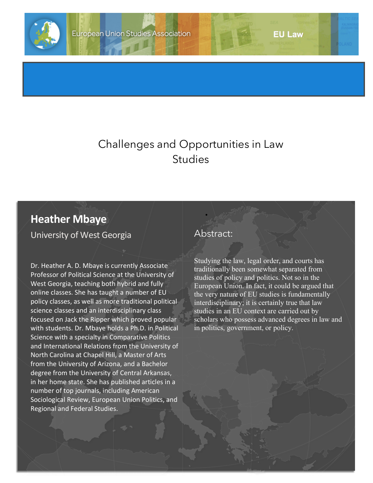

## Challenges and Opportunities in Law **Studies**

## **Heather Mbaye**

University of West Georgia

Dr. Heather A. D. Mbaye is currently Associate Professor of Political Science at the University of West Georgia, teaching both hybrid and fully online classes. She has taught a number of EU policy classes, as well as more traditional political science classes and an interdisciplinary class focused on Jack the Ripper which proved popular with students. Dr. Mbaye holds a Ph.D. in Political Science with a specialty in Comparative Politics and International Relations from the University of North Carolina at Chapel Hill, a Master of Arts from the University of Arizona, and a Bachelor degree from the University of Central Arkansas, in her home state. She has published articles in a number of top journals, including American Sociological Review, European Union Politics, and Regional and Federal Studies.

## Abstract:

•

Studying the law, legal order, and courts has traditionally been somewhat separated from studies of policy and politics. Not so in the European Union. In fact, it could be argued that the very nature of EU studies is fundamentally interdisciplinary; it is certainly true that law studies in an EU context are carried out by scholars who possess advanced degrees in law and in politics, government, or policy.

**EU Law**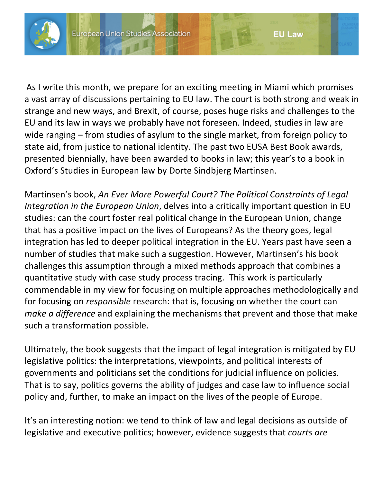

As I write this month, we prepare for an exciting meeting in Miami which promises a vast array of discussions pertaining to EU law. The court is both strong and weak in strange and new ways, and Brexit, of course, poses huge risks and challenges to the EU and its law in ways we probably have not foreseen. Indeed, studies in law are wide ranging – from studies of asylum to the single market, from foreign policy to state aid, from justice to national identity. The past two EUSA Best Book awards, presented biennially, have been awarded to books in law; this year's to a book in Oxford's Studies in European law by Dorte Sindbjerg Martinsen.

**EU Law** 

Martinsen's book, *An Ever More Powerful Court? The Political Constraints of Legal Integration in the European Union*, delves into a critically important question in EU studies: can the court foster real political change in the European Union, change that has a positive impact on the lives of Europeans? As the theory goes, legal integration has led to deeper political integration in the EU. Years past have seen a number of studies that make such a suggestion. However, Martinsen's his book challenges this assumption through a mixed methods approach that combines a quantitative study with case study process tracing. This work is particularly commendable in my view for focusing on multiple approaches methodologically and for focusing on *responsible* research: that is, focusing on whether the court can *make a difference* and explaining the mechanisms that prevent and those that make such a transformation possible.

Ultimately, the book suggests that the impact of legal integration is mitigated by EU legislative politics: the interpretations, viewpoints, and political interests of governments and politicians set the conditions for judicial influence on policies. That is to say, politics governs the ability of judges and case law to influence social policy and, further, to make an impact on the lives of the people of Europe.

It's an interesting notion: we tend to think of law and legal decisions as outside of legislative and executive politics; however, evidence suggests that *courts are*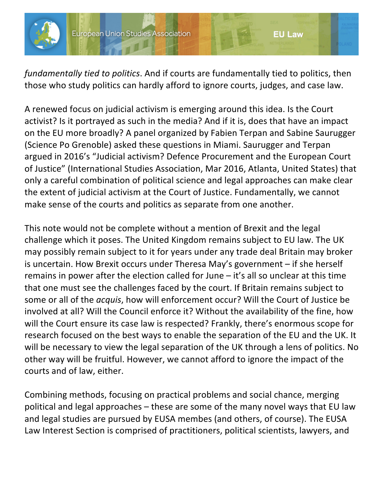

*fundamentally tied to politics*. And if courts are fundamentally tied to politics, then those who study politics can hardly afford to ignore courts, judges, and case law.

A renewed focus on judicial activism is emerging around this idea. Is the Court activist? Is it portrayed as such in the media? And if it is, does that have an impact on the EU more broadly? A panel organized by Fabien Terpan and Sabine Saurugger (Science Po Grenoble) asked these questions in Miami. Saurugger and Terpan argued in 2016's "Judicial activism? Defence Procurement and the European Court of Justice" (International Studies Association, Mar 2016, Atlanta, United States) that only a careful combination of political science and legal approaches can make clear the extent of judicial activism at the Court of Justice. Fundamentally, we cannot make sense of the courts and politics as separate from one another.

This note would not be complete without a mention of Brexit and the legal challenge which it poses. The United Kingdom remains subject to EU law. The UK may possibly remain subject to it for years under any trade deal Britain may broker is uncertain. How Brexit occurs under Theresa May's government – if she herself remains in power after the election called for June – it's all so unclear at this time that one must see the challenges faced by the court. If Britain remains subject to some or all of the *acquis*, how will enforcement occur? Will the Court of Justice be involved at all? Will the Council enforce it? Without the availability of the fine, how will the Court ensure its case law is respected? Frankly, there's enormous scope for research focused on the best ways to enable the separation of the EU and the UK. It will be necessary to view the legal separation of the UK through a lens of politics. No other way will be fruitful. However, we cannot afford to ignore the impact of the courts and of law, either.

Combining methods, focusing on practical problems and social chance, merging political and legal approaches – these are some of the many novel ways that EU law and legal studies are pursued by EUSA membes (and others, of course). The EUSA Law Interest Section is comprised of practitioners, political scientists, lawyers, and